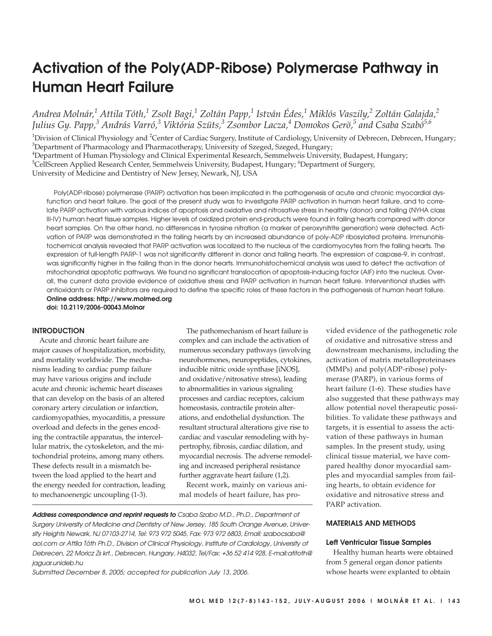# **Activation of the Poly(ADP-Ribose) Polymerase Pathway in Human Heart Failure**

*Andrea Molnár,1 Attila Tóth,<sup>1</sup> Zsolt Bagi,1 Zoltán Papp,1 István Édes,1 Miklós Vaszily,2 Zoltán Galajda,2 Julius Gy. Papp,<sup>3</sup> András Varró,3 Viktória Szüts,3 Zsombor Lacza,4 Domokos Gerö,5 and Csaba Szabó5,6*

 $^1$ Division of Clinical Physiology and  $^2$ Center of Cardiac Surgery, Institute of Cardiology, University of Debrecen, Debrecen, Hungary;  $3$ Department of Pharmacology and Pharmacotherapy, University of Szeged, Szeged, Hungary;

4 Department of Human Physiology and Clinical Experimental Research, Semmelweis University, Budapest, Hungary;

<sup>5</sup>CellScreen Applied Research Center, Semmelweis University, Budapest, Hungary; <sup>6</sup>Department of Surgery,

University of Medicine and Dentistry of New Jersey, Newark, NJ, USA

Poly(ADP-ribose) polymerase (PARP) activation has been implicated in the pathogenesis of acute and chronic myocardial dysfunction and heart failure. The goal of the present study was to investigate PARP activation in human heart failure, and to correlate PARP activation with various indices of apoptosis and oxidative and nitrosative stress in healthy (donor) and failing (NYHA class III-IV) human heart tissue samples. Higher levels of oxidized protein end-products were found in failing hearts compared with donor heart samples. On the other hand, no differences in tyrosine nitration (a marker of peroxynitrite generation) were detected. Activation of PARP was demonstrated in the failing hearts by an increased abundance of poly-ADP ribosylated proteins. Immunohistochemical analysis revealed that PARP activation was localized to the nucleus of the cardiomyocytes from the failing hearts. The expression of full-length PARP-1 was not significantly different in donor and failing hearts. The expression of caspase-9, in contrast, was significantly higher in the failing than in the donor hearts. Immunohistochemical analysis was used to detect the activation of mitochondrial apoptotic pathways. We found no significant translocation of apoptosis-inducing factor (AIF) into the nucleus. Overall, the current data provide evidence of oxidative stress and PARP activation in human heart failure. Interventional studies with antioxidants or PARP inhibitors are required to define the specific roles of these factors in the pathogenesis of human heart failure. **Online address: http://www.molmed.org doi: 10.2119/2006-00043.Molnar**

#### **INTRODUCTION**

Acute and chronic heart failure are major causes of hospitalization, morbidity, and mortality worldwide. The mechanisms leading to cardiac pump failure may have various origins and include acute and chronic ischemic heart diseases that can develop on the basis of an altered coronary artery circulation or infarction, cardiomyopathies, myocarditis, a pressure overload and defects in the genes encoding the contractile apparatus, the intercellular matrix, the cytoskeleton, and the mitochondrial proteins, among many others. These defects result in a mismatch between the load applied to the heart and the energy needed for contraction, leading to mechanoenergic uncoupling (1-3).

The pathomechanism of heart failure is complex and can include the activation of numerous secondary pathways (involving neurohormones, neuropeptides, cytokines, inducible nitric oxide synthase [iNOS], and oxidative/nitrosative stress), leading to abnormalities in various signaling processes and cardiac receptors, calcium homeostasis, contractile protein alterations, and endothelial dysfunction. The resultant structural alterations give rise to cardiac and vascular remodeling with hypertrophy, fibrosis, cardiac dilation, and myocardial necrosis. The adverse remodeling and increased peripheral resistance further aggravate heart failure (1,2).

Recent work, mainly on various animal models of heart failure, has pro-

**Address correspondence and reprint requests to** Csaba Szabo M.D., Ph.D., Department of Surgery University of Medicine and Dentistry of New Jersey, 185 South Orange Avenue, University Heights Newark, NJ 07103-2714, Tel: 973 972 5045, Fax: 973 972 6803, Email: szabocsaba@ aol.com or Attila Tóth Ph.D., Division of Clinical Physiology, Institute of Cardiology, University of Debrecen, 22 Moricz Zs krt., Debrecen, Hungary, H4032, Tel/Fax: +36 52 414 928, E-mail:atitoth@ jaguar.unideb.hu

Submitted December 8, 2005; accepted for publication July 13, 2006.

vided evidence of the pathogenetic role of oxidative and nitrosative stress and downstream mechanisms, including the activation of matrix metalloproteinases (MMPs) and poly(ADP-ribose) polymerase (PARP), in various forms of heart failure (1-6). These studies have also suggested that these pathways may allow potential novel therapeutic possibilities. To validate these pathways and targets, it is essential to assess the activation of these pathways in human samples. In the present study, using clinical tissue material, we have compared healthy donor myocardial samples and myocardial samples from failing hearts, to obtain evidence for oxidative and nitrosative stress and PARP activation.

## **MATERIALS AND METHODS**

#### **Left Ventricular Tissue Samples**

Healthy human hearts were obtained from 5 general organ donor patients whose hearts were explanted to obtain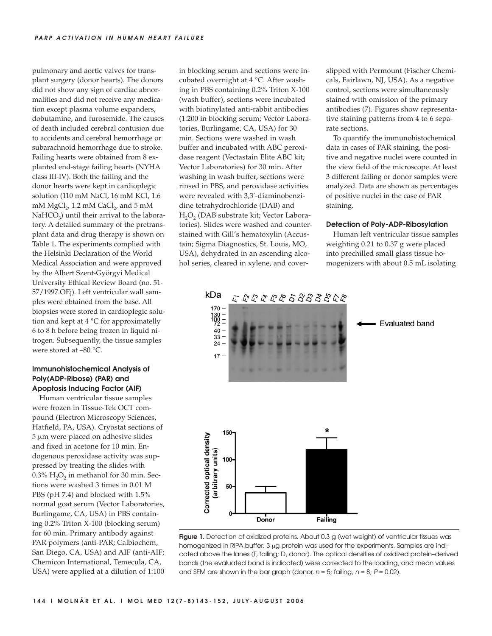pulmonary and aortic valves for transplant surgery (donor hearts). The donors did not show any sign of cardiac abnormalities and did not receive any medication except plasma volume expanders, dobutamine, and furosemide. The causes of death included cerebral contusion due to accidents and cerebral hemorrhage or subarachnoid hemorrhage due to stroke. Failing hearts were obtained from 8 explanted end-stage failing hearts (NYHA class III-IV). Both the failing and the donor hearts were kept in cardioplegic solution (110 mM NaCl, 16 mM KCl, 1.6 mM  $MgCl<sub>2</sub>$ , 1.2 mM CaCl<sub>2</sub>, and 5 mM  $NaHCO<sub>3</sub>$ ) until their arrival to the laboratory. A detailed summary of the pretransplant data and drug therapy is shown on Table 1. The experiments complied with the Helsinki Declaration of the World Medical Association and were approved by the Albert Szent-Györgyi Medical University Ethical Review Board (no. 51- 57/1997.OEj). Left ventricular wall samples were obtained from the base. All biopsies were stored in cardioplegic solution and kept at 4 °C for approximatelly 6 to 8 h before being frozen in liquid nitrogen. Subsequently, the tissue samples were stored at –80 °C.

# **Immunohistochemical Analysis of Poly(ADP-Ribose) (PAR) and Apoptosis Inducing Factor (AIF)**

Human ventricular tissue samples were frozen in Tissue-Tek OCT compound (Electron Microscopy Sciences, Hatfield, PA, USA). Cryostat sections of 5 μm were placed on adhesive slides and fixed in acetone for 10 min. Endogenous peroxidase activity was suppressed by treating the slides with  $0.3\%$  H<sub>2</sub>O<sub>2</sub> in methanol for 30 min. Sections were washed 3 times in 0.01 M PBS (pH 7.4) and blocked with 1.5% normal goat serum (Vector Laboratories, Burlingame, CA, USA) in PBS containing 0.2% Triton X-100 (blocking serum) for 60 min. Primary antibody against PAR polymers (anti-PAR; Calbiochem, San Diego, CA, USA) and AIF (anti-AIF; Chemicon International, Temecula, CA, USA) were applied at a dilution of 1:100

in blocking serum and sections were incubated overnight at 4 °C. After washing in PBS containing 0.2% Triton X-100 (wash buffer), sections were incubated with biotinylated anti-rabbit antibodies (1:200 in blocking serum; Vector Laboratories, Burlingame, CA, USA) for 30 min. Sections were washed in wash buffer and incubated with ABC peroxidase reagent (Vectastain Elite ABC kit; Vector Laboratories) for 30 min. After washing in wash buffer, sections were rinsed in PBS, and peroxidase activities were revealed with 3,3′-diaminobenzidine tetrahydrochloride (DAB) and H<sub>2</sub>O<sub>2</sub> (DAB substrate kit; Vector Laboratories). Slides were washed and counterstained with Gill's hematoxylin (Accustain; Sigma Diagnostics, St. Louis, MO, USA), dehydrated in an ascending alcohol series, cleared in xylene, and coverslipped with Permount (Fischer Chemicals, Fairlawn, NJ, USA). As a negative control, sections were simultaneously stained with omission of the primary antibodies (7). Figures show representative staining patterns from 4 to 6 separate sections.

To quantify the immunohistochemical data in cases of PAR staining, the positive and negative nuclei were counted in the view field of the microscope. At least 3 different failing or donor samples were analyzed. Data are shown as percentages of positive nuclei in the case of PAR staining.

### **Detection of Poly-ADP-Ribosylation**

Human left ventricular tissue samples weighting 0.21 to 0.37 g were placed into prechilled small glass tissue homogenizers with about 0.5 mL isolating



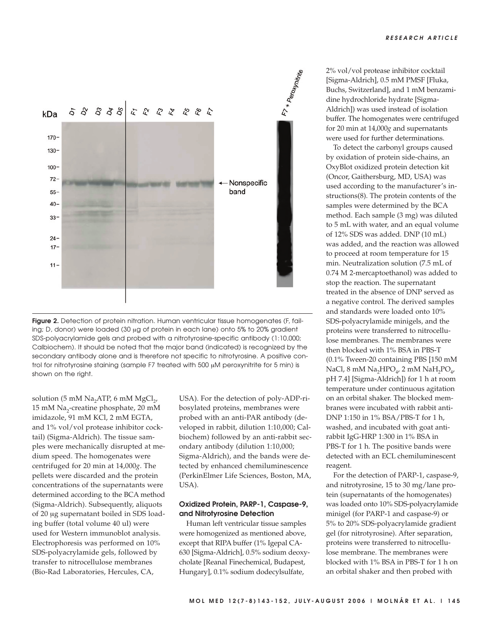

**Figure 2.** Detection of protein nitration. Human ventricular tissue homogenates (F, failing; D, donor) were loaded (30 μg of protein in each lane) onto 5% to 20% gradient SDS-polyacrylamide gels and probed with a nitrotyrosine-specific antibody (1:10,000; Calbiochem). It should be noted that the major band (indicated) is recognized by the secondary antibody alone and is therefore not specific to nitrotyrosine. A positive control for nitrotyrosine staining (sample F7 treated with 500 μM peroxynitrite for 5 min) is shown on the right.

solution (5 mM Na<sub>2</sub>ATP, 6 mM MgCl<sub>2</sub>,  $15$  mM Na<sub>2</sub>-creatine phosphate,  $20$  mM imidazole, 91 mM KCl, 2 mM EGTA, and 1% vol/vol protease inhibitor cocktail) (Sigma-Aldrich). The tissue samples were mechanically disrupted at medium speed. The homogenates were centrifuged for 20 min at 14,000*g*. The pellets were discarded and the protein concentrations of the supernatants were determined according to the BCA method (Sigma-Aldrich). Subsequently, aliquots of 20 μg supernatant boiled in SDS loading buffer (total volume 40 ul) were used for Western immunoblot analysis. Electrophoresis was performed on 10% SDS-polyacrylamide gels, followed by transfer to nitrocellulose membranes (Bio-Rad Laboratories, Hercules, CA,

USA). For the detection of poly-ADP-ribosylated proteins, membranes were probed with an anti-PAR antibody (developed in rabbit, dilution 1:10,000; Calbiochem) followed by an anti-rabbit secondary antibody (dilution 1:10,000; Sigma-Aldrich), and the bands were detected by enhanced chemiluminescence (PerkinElmer Life Sciences, Boston, MA, USA).

## **Oxidized Protein, PARP-1, Caspase-9, and Nitrotyrosine Detection**

Human left ventricular tissue samples were homogenized as mentioned above, except that RIPA buffer (1% Igepal CA-630 [Sigma-Aldrich], 0.5% sodium deoxycholate [Reanal Finechemical, Budapest, Hungary], 0.1% sodium dodecylsulfate,

2% vol/vol protease inhibitor cocktail [Sigma-Aldrich], 0.5 mM PMSF [Fluka, Buchs, Switzerland], and 1 mM benzamidine hydrochloride hydrate [Sigma-Aldrich]) was used instead of isolation buffer. The homogenates were centrifuged for 20 min at 14,000*g* and supernatants were used for further determinations.

To detect the carbonyl groups caused by oxidation of protein side-chains, an OxyBlot oxidized protein detection kit (Oncor, Gaithersburg, MD, USA) was used according to the manufacturer's instructions(8). The protein contents of the samples were determined by the BCA method. Each sample (3 mg) was diluted to 5 mL with water, and an equal volume of 12% SDS was added. DNP (10 mL) was added, and the reaction was allowed to proceed at room temperature for 15 min. Neutralization solution (7.5 mL of 0.74 M 2-mercaptoethanol) was added to stop the reaction. The supernatant treated in the absence of DNP served as a negative control. The derived samples and standards were loaded onto 10% SDS-polyacrylamide minigels, and the proteins were transferred to nitrocellulose membranes. The membranes were then blocked with 1% BSA in PBS-T (0.1% Tween-20 containing PBS [150 mM NaCl, 8 mM Na<sub>2</sub>HPO<sub>4</sub>, 2 mM NaH<sub>2</sub>PO<sub>4</sub>, pH 7.4] [Sigma-Aldrich]) for 1 h at room temperature under continuous agitation on an orbital shaker. The blocked membranes were incubated with rabbit anti-DNP 1:150 in 1% BSA/PBS-T for 1 h, washed, and incubated with goat antirabbit IgG-HRP 1:300 in 1% BSA in PBS-T for 1 h. The positive bands were detected with an ECL chemiluminescent reagent.

For the detection of PARP-1, caspase-9, and nitrotyrosine, 15 to 30 mg/lane protein (supernatants of the homogenates) was loaded onto 10% SDS-polyacrylamide minigel (for PARP-1 and caspase-9) or 5% to 20% SDS-polyacrylamide gradient gel (for nitrotyrosine). After separation, proteins were transferred to nitrocellulose membrane. The membranes were blocked with 1% BSA in PBS-T for 1 h on an orbital shaker and then probed with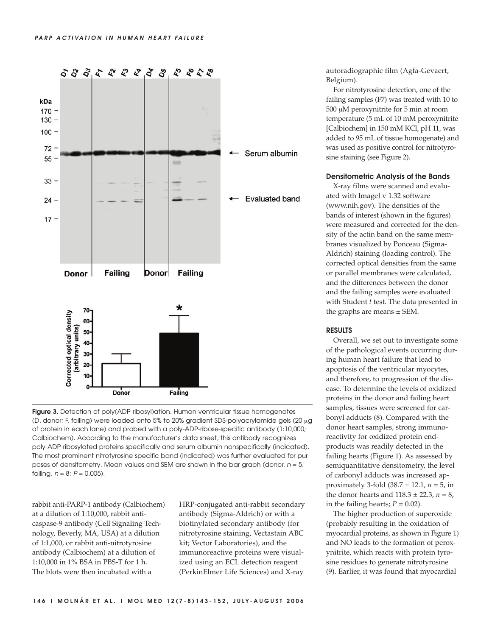



rabbit anti-PARP-1 antibody (Calbiochem) at a dilution of 1:10,000, rabbit anticaspase-9 antibody (Cell Signaling Technology, Beverly, MA, USA) at a dilution of 1:1,000, or rabbit anti-nitrotyrosine antibody (Calbiochem) at a dilution of 1:10,000 in 1% BSA in PBS-T for 1 h. The blots were then incubated with a

HRP-conjugated anti-rabbit secondary antibody (Sigma-Aldrich) or with a biotinylated secondary antibody (for nitrotyrosine staining, Vectastain ABC kit; Vector Laboratories), and the immunoreactive proteins were visualized using an ECL detection reagent (PerkinElmer Life Sciences) and X-ray

autoradiographic film (Agfa-Gevaert, Belgium).

For nitrotyrosine detection, one of the failing samples (F7) was treated with 10 to 500 μM peroxynitrite for 5 min at room temperature (5 mL of 10 mM peroxynitrite [Calbiochem] in 150 mM KCl, pH 11, was added to 95 mL of tissue homogenate) and was used as positive control for nitrotyrosine staining (see Figure 2).

## **Densitometric Analysis of the Bands**

X-ray films were scanned and evaluated with ImageJ v 1.32 software (www.nih.gov). The densities of the bands of interest (shown in the figures) were measured and corrected for the density of the actin band on the same membranes visualized by Ponceau (Sigma-Aldrich) staining (loading control). The corrected optical densities from the same or parallel membranes were calculated, and the differences between the donor and the failing samples were evaluated with Student *t* test. The data presented in the graphs are means  $\pm$  SEM.

## **RESULTS**

Overall, we set out to investigate some of the pathological events occurring during human heart failure that lead to apoptosis of the ventricular myocytes, and therefore, to progression of the disease. To determine the levels of oxidized proteins in the donor and failing heart samples, tissues were screened for carbonyl adducts (8). Compared with the donor heart samples, strong immunoreactivity for oxidized protein endproducts was readily detected in the failing hearts (Figure 1). As assessed by semiquantitative densitometry, the level of carbonyl adducts was increased approximately 3-fold (38.7 ± 12.1, *n* = 5, in the donor hearts and  $118.3 \pm 22.3$ ,  $n = 8$ , in the failing hearts;  $P = 0.02$ ).

The higher production of superoxide (probably resulting in the oxidation of myocardial proteins, as shown in Figure 1) and NO leads to the formation of peroxynitrite, which reacts with protein tyrosine residues to generate nitrotyrosine (9). Earlier, it was found that myocardial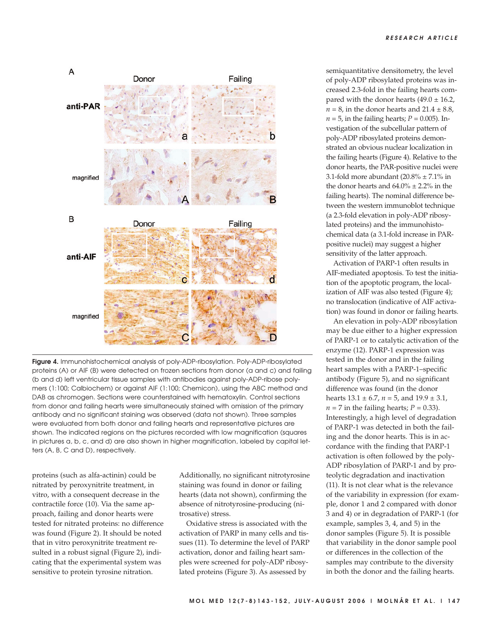

**Figure 4.** Immunohistochemical analysis of poly-ADP-ribosylation. Poly-ADP-ribosylated proteins (A) or AIF (B) were detected on frozen sections from donor (a and c) and failing (b and d) left ventricular tissue samples with antibodies against poly-ADP-ribose polymers (1:100; Calbiochem) or against AIF (1:100; Chemicon), using the ABC method and DAB as chromogen. Sections were counterstained with hematoxylin. Control sections from donor and failing hearts were simultaneously stained with omission of the primary antibody and no significant staining was observed (data not shown). Three samples were evaluated from both donor and failing hearts and representative pictures are shown. The indicated regions on the pictures recorded with low magnification (squares in pictures a, b, c, and d) are also shown in higher magnification, labeled by capital letters (A, B, C and D), respectively.

proteins (such as alfa-actinin) could be nitrated by peroxynitrite treatment, in vitro, with a consequent decrease in the contractile force (10). Via the same approach, failing and donor hearts were tested for nitrated proteins: no difference was found (Figure 2). It should be noted that in vitro peroxynitrite treatment resulted in a robust signal (Figure 2), indicating that the experimental system was sensitive to protein tyrosine nitration.

Additionally, no significant nitrotyrosine staining was found in donor or failing hearts (data not shown), confirming the absence of nitrotyrosine-producing (nitrosative) stress.

Oxidative stress is associated with the activation of PARP in many cells and tissues (11). To determine the level of PARP activation, donor and failing heart samples were screened for poly-ADP ribosylated proteins (Figure 3). As assessed by

semiquantitative densitometry, the level of poly-ADP ribosylated proteins was increased 2.3-fold in the failing hearts compared with the donor hearts  $(49.0 \pm 16.2)$ ,  $n = 8$ , in the donor hearts and  $21.4 \pm 8.8$ ,  $n = 5$ , in the failing hearts;  $P = 0.005$ ). Investigation of the subcellular pattern of poly-ADP ribosylated proteins demonstrated an obvious nuclear localization in the failing hearts (Figure 4). Relative to the donor hearts, the PAR-positive nuclei were 3.1-fold more abundant  $(20.8\% \pm 7.1\% \text{ in}$ the donor hearts and  $64.0\% \pm 2.2\%$  in the failing hearts). The nominal difference between the western immunoblot technique (a 2.3-fold elevation in poly-ADP ribosylated proteins) and the immunohistochemical data (a 3.1-fold increase in PARpositive nuclei) may suggest a higher sensitivity of the latter approach.

Activation of PARP-1 often results in AIF-mediated apoptosis. To test the initiation of the apoptotic program, the localization of AIF was also tested (Figure 4); no translocation (indicative of AIF activation) was found in donor or failing hearts.

An elevation in poly-ADP ribosylation may be due either to a higher expression of PARP-1 or to catalytic activation of the enzyme (12). PARP-1 expression was tested in the donor and in the failing heart samples with a PARP-1–specific antibody (Figure 5), and no significant difference was found (in the donor hearts  $13.1 \pm 6.7$ ,  $n = 5$ , and  $19.9 \pm 3.1$ ,  $n = 7$  in the failing hearts;  $P = 0.33$ ). Interestingly, a high level of degradation of PARP-1 was detected in both the failing and the donor hearts. This is in accordance with the finding that PARP-1 activation is often followed by the poly-ADP ribosylation of PARP-1 and by proteolytic degradation and inactivation (11). It is not clear what is the relevance of the variability in expression (for example, donor 1 and 2 compared with donor 3 and 4) or in degradation of PARP-1 (for example, samples 3, 4, and 5) in the donor samples (Figure 5). It is possible that variability in the donor sample pool or differences in the collection of the samples may contribute to the diversity in both the donor and the failing hearts.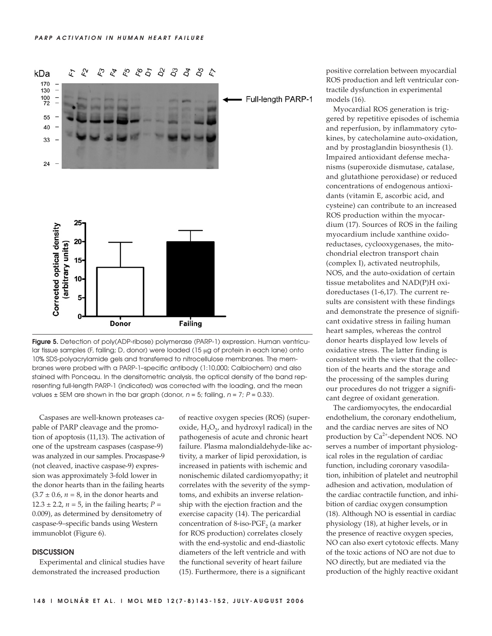

**Figure 5.** Detection of poly(ADP-ribose) polymerase (PARP-1) expression. Human ventricular tissue samples (F, failing; D, donor) were loaded (15 μg of protein in each lane) onto 10% SDS-polyacrylamide gels and transferred to nitrocellulose membranes. The membranes were probed with a PARP-1–specific antibody (1:10,000; Calbiochem) and also stained with Ponceau. In the densitometric analysis, the optical density of the band representing full-length PARP-1 (indicated) was corrected with the loading, and the mean values  $\pm$  SEM are shown in the bar graph (donor,  $n = 5$ ; failing,  $n = 7$ ;  $P = 0.33$ ).

Caspases are well-known proteases capable of PARP cleavage and the promotion of apoptosis (11,13). The activation of one of the upstream caspases (caspase-9) was analyzed in our samples. Procaspase-9 (not cleaved, inactive caspase-9) expression was approximately 3-fold lower in the donor hearts than in the failing hearts  $(3.7 \pm 0.6, n = 8, \text{ in the donor hearts and})$ 12.3  $\pm$  2.2, *n* = 5, in the failing hearts; *P* = 0.009), as determined by densitometry of caspase-9–specific bands using Western immunoblot (Figure 6).

## **DISCUSSION**

Experimental and clinical studies have demonstrated the increased production

of reactive oxygen species (ROS) (superoxide,  $H_2O_2$ , and hydroxyl radical) in the pathogenesis of acute and chronic heart failure. Plasma malondialdehyde-like activity, a marker of lipid peroxidation, is increased in patients with ischemic and nonischemic dilated cardiomyopathy; it correlates with the severity of the symptoms, and exhibits an inverse relationship with the ejection fraction and the exercise capacity (14). The pericardial concentration of 8-iso-PGF<sub>2</sub> (a marker for ROS production) correlates closely with the end-systolic and end-diastolic diameters of the left ventricle and with the functional severity of heart failure (15). Furthermore, there is a significant

positive correlation between myocardial ROS production and left ventricular contractile dysfunction in experimental models (16).

Myocardial ROS generation is triggered by repetitive episodes of ischemia and reperfusion, by inflammatory cytokines, by catecholamine auto-oxidation, and by prostaglandin biosynthesis (1). Impaired antioxidant defense mechanisms (superoxide dismutase, catalase, and glutathione peroxidase) or reduced concentrations of endogenous antioxidants (vitamin E, ascorbic acid, and cysteine) can contribute to an increased ROS production within the myocardium (17). Sources of ROS in the failing myocardium include xanthine oxidoreductases, cyclooxygenases, the mitochondrial electron transport chain (complex I), activated neutrophils, NOS, and the auto-oxidation of certain tissue metabolites and NAD(P)H oxidoreductases (1-6,17). The current results are consistent with these findings and demonstrate the presence of significant oxidative stress in failing human heart samples, whereas the control donor hearts displayed low levels of oxidative stress. The latter finding is consistent with the view that the collection of the hearts and the storage and the processing of the samples during our procedures do not trigger a significant degree of oxidant generation.

The cardiomyocytes, the endocardial endothelium, the coronary endothelium, and the cardiac nerves are sites of NO production by Ca<sup>2+</sup>-dependent NOS. NO serves a number of important physiological roles in the regulation of cardiac function, including coronary vasodilation, inhibition of platelet and neutrophil adhesion and activation, modulation of the cardiac contractile function, and inhibition of cardiac oxygen consumption (18). Although NO is essential in cardiac physiology (18), at higher levels, or in the presence of reactive oxygen species, NO can also exert cytotoxic effects. Many of the toxic actions of NO are not due to NO directly, but are mediated via the production of the highly reactive oxidant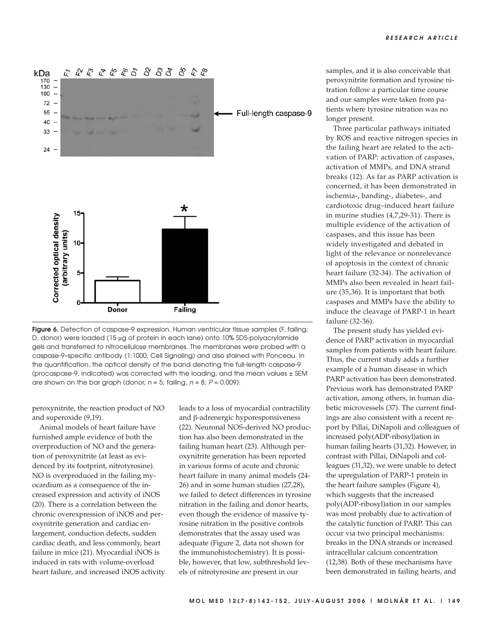



peroxynitrite, the reaction product of NO and superoxide (9,19).

Animal models of heart failure have furnished ample evidence of both the overproduction of NO and the generation of peroxynitrite (at least as evidenced by its footprint, nitrotyrosine). NO is overproduced in the failing myocardium as a consequence of the increased expression and activity of iNOS (20). There is a correlation between the chronic overexpression of iNOS and peroxynitrite generation and cardiac enlargement, conduction defects, sudden cardiac death, and less commonly, heart failure in mice (21). Myocardial iNOS is induced in rats with volume-overload heart failure, and increased iNOS activity leads to a loss of myocardial contractility and β-adrenergic hyporesponsiveness (22). Neuronal NOS-derived NO production has also been demonstrated in the failing human heart (23). Although peroxynitrite generation has been reported in various forms of acute and chronic heart failure in many animal models (24- 26) and in some human studies (27,28), we failed to detect differences in tyrosine nitration in the failing and donor hearts, even though the evidence of massive tyrosine nitration in the positive controls demonstrates that the assay used was adequate (Figure 2, data not shown for the immunohistochemistry). It is possible, however, that low, subthreshold levels of nitrotyrosine are present in our

samples, and it is also conceivable that peroxynitrite formation and tyrosine nitration follow a particular time course and our samples were taken from patients where tyrosine nitration was no longer present.

Three particular pathways initiated by ROS and reactive nitrogen species in the failing heart are related to the activation of PARP: activation of caspases, activation of MMPs, and DNA strand breaks (12). As far as PARP activation is concerned, it has been demonstrated in ischemia-, banding-, diabetes-, and cardiotoxic drug–induced heart failure in murine studies (4,7,29-31). There is multiple evidence of the activation of caspases, and this issue has been widely investigated and debated in light of the relevance or nonrelevance of apoptosis in the context of chronic heart failure (32-34). The activation of MMPs also been revealed in heart failure (35,36). It is important that both caspases and MMPs have the ability to induce the cleavage of PARP-1 in heart failure (32-36).

The present study has yielded evidence of PARP activation in myocardial samples from patients with heart failure. Thus, the current study adds a further example of a human disease in which PARP activation has been demonstrated. Previous work has demonstrated PARP activation, among others, in human diabetic microvessels (37). The current findings are also consistent with a recent report by Pillai, DiNapoli and colleagues of increased poly(ADP-ribosyl)ation in human failing hearts (31,32). However, in contrast with Pillai, DiNapoli and colleagues (31,32), we were unable to detect the upregulation of PARP-1 protein in the heart failure samples (Figure 4), which suggests that the increased poly(ADP-ribosyl)ation in our samples was most probably due to activation of the catalytic function of PARP. This can occur via two principal mechanisms: breaks in the DNA strands or increased intracellular calcium concentration (12,38). Both of these mechanisms have been demonstrated in failing hearts, and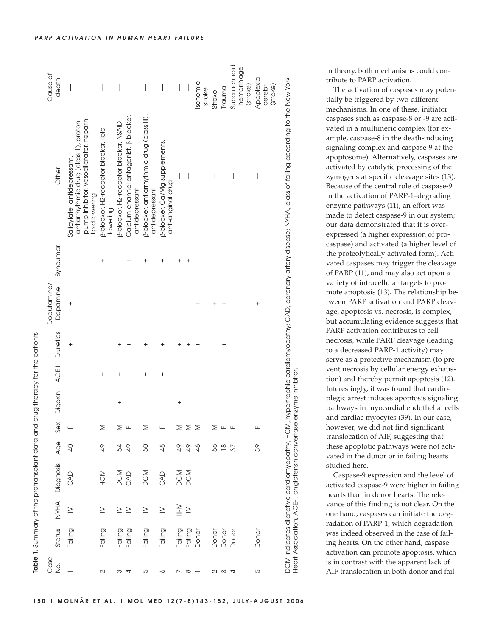|                          |         |        | Table 1. Summary of the pretransplant data and therapy for the patients |                |                    |           |                  |                  |                 |           |                                                                                                                                           |                                         |
|--------------------------|---------|--------|-------------------------------------------------------------------------|----------------|--------------------|-----------|------------------|------------------|-----------------|-----------|-------------------------------------------------------------------------------------------------------------------------------------------|-----------------------------------------|
| Case                     |         |        |                                                                         |                |                    |           |                  |                  | Dobutamine      |           |                                                                                                                                           | Cause of                                |
| $\dot{\mathcal{Q}}$      | Status  | NYHA   | Diagnosis                                                               | Age            | Sex                | Digoxin   | ACE <sub>I</sub> | <b>Diuretics</b> | Dopamine        | Syncumar  | Other                                                                                                                                     | death                                   |
| $\overline{a}$           | Failing | $\geq$ | CAD                                                                     | $\overline{Q}$ | щ                  |           |                  | $^{+}$           | $\ddot{}$       |           | pump inhibitor, vasodilatator, heparin,<br>antiarrhythmic drug (class III), proton<br>Salicylate, antidepressant,<br>lipid lowering       | $\overline{\phantom{a}}$                |
| $\sim$                   | Failing | $\geq$ | NOH                                                                     | $\frac{1}{2}$  | Σ                  |           | $\ddot{}$        |                  |                 | $\ddot{}$ | <b>B-blocker, H2-receptor blocker, lipid</b><br>lowering                                                                                  |                                         |
| က                        | Failing | $\geq$ | DCM                                                                     | 54             | Σ                  | $\ddot{}$ |                  |                  |                 |           | <b>B-blocker, H2-receptor blocker, NSAID</b>                                                                                              | $\overline{\phantom{a}}$                |
| $\overline{a}$           | Failing | $\geq$ | CAD                                                                     | $\frac{4}{3}$  | $\mathrel{\sqcup}$ |           |                  |                  |                 |           | Calcium channel antagonist, ß-blocker,<br>antidepressant                                                                                  | I                                       |
| 5                        | Failing | $\geq$ | DCM                                                                     | SO             | Σ                  |           | $^{\mathrm{+}}$  | $^{\mathrm{+}}$  |                 |           | $\beta$ -blocker, antiarrhythmic drug (class III),<br>antidepressant                                                                      | I                                       |
| ♦                        | Failing | $\geq$ | CAD                                                                     | $\frac{8}{3}$  | Щ                  |           | $\ddot{}$        | +                |                 | +         | ß-blocker, Ca/Mg supplements,<br>anti-anginal drug                                                                                        | I                                       |
| $\overline{\phantom{0}}$ | Failing | $\geq$ | <b>NOC</b>                                                              | ਰੀ             | Σ                  | $\,^+$    |                  | $^{\mathrm{+}}$  |                 |           |                                                                                                                                           | $\overline{\phantom{a}}$                |
| $\infty$                 | Failing | $\geq$ | <b>DCM</b>                                                              | $\frac{1}{2}$  | $\geq$             |           |                  |                  |                 |           |                                                                                                                                           |                                         |
| $\overline{a}$           | Donor   |        |                                                                         | $\frac{4}{5}$  | Σ                  |           |                  |                  | $\ddot{}$       |           |                                                                                                                                           | Ischemic<br>stroke                      |
|                          | Donor   |        |                                                                         | 99             | Σ                  |           |                  |                  | $^{\mathrm{+}}$ |           |                                                                                                                                           | Stroke                                  |
| လ က                      | Donor   |        |                                                                         | $\frac{8}{3}$  | ட்ட                |           |                  | $\,^+$           |                 |           |                                                                                                                                           | Trauma                                  |
| $\overline{\phantom{0}}$ | Donor   |        |                                                                         |                |                    |           |                  |                  |                 |           |                                                                                                                                           | Subarachnoid<br>hemorrhage<br>(stroke)  |
| 5                        | Donor   |        |                                                                         | SQ             | ட                  |           |                  |                  | $^+$            |           |                                                                                                                                           | Apoplexia<br>cerebri<br>$(\frac{1}{2})$ |
|                          |         |        | Heart Association; ACE-I, angiotensin convertase enzyme inhibitor.      |                |                    |           |                  |                  |                 |           | DCM indicates dilatative cardiomyopatrophic cardiomyopathy; CAD, coronary atery disease; NYHA, class of falling according to the New York |                                         |

in theory, both mechanisms could contribute to PARP activation.

The activation of caspases may potentially be triggered by two different mechanisms. In one of these, initiator caspases such as caspase-8 or -9 are activated in a multimeric complex (for example, caspase-8 in the death-inducing signaling complex and caspase-9 at the apoptosome). Alternatively, caspases are activated by catalytic processing of the zymogens at specific cleavage sites (13). Because of the central role of caspase-9 in the activation of PARP-1–degrading enzyme pathways (11), an effort was made to detect caspase-9 in our system; our data demonstrated that it is overexpressed (a higher expression of procaspase) and activated (a higher level of the proteolytically activated form). Activated caspases may trigger the cleavage of PARP (11), and may also act upon a variety of intracellular targets to promote apoptosis (13). The relationship between PARP activation and PARP cleavage, apoptosis vs. necrosis, is complex, but accumulating evidence suggests that PARP activation contributes to cell necrosis, while PARP cleavage (leading to a decreased PARP-1 activity) may serve as a protective mechanism (to prevent necrosis by cellular energy exhaustion) and thereby permit apoptosis (12). Interestingly, it was found that cardioplegic arrest induces apoptosis signaling pathways in myocardial endothelial cells and cardiac myocytes (39). In our case, however, we did not find significant translocation of AIF, suggesting that these apoptotic pathways were not activated in the donor or in failing hearts studied here.

Caspase-9 expression and the level of activated caspase-9 were higher in failing hearts than in donor hearts. The relevance of this finding is not clear. On the one hand, caspases can initiate the degradation of PARP-1, which degradation was indeed observed in the case of failing hearts. On the other hand, caspase activation can promote apoptosis, which is in contrast with the apparent lack of AIF translocation in both donor and fail-

#### **PARP ACTIVATION IN HUMAN HEART FAILURE**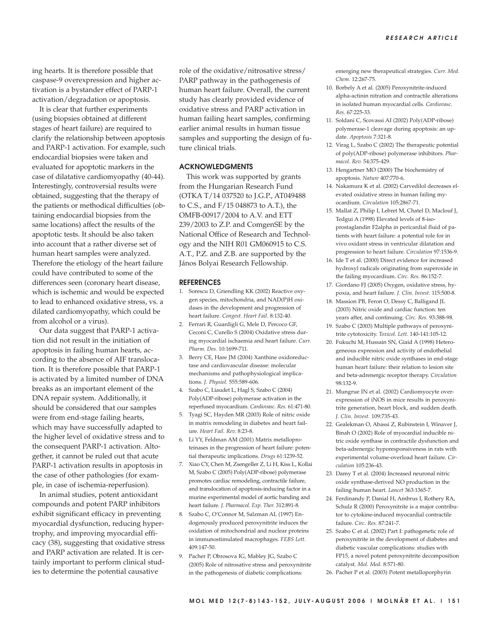ing hearts. It is therefore possible that caspase-9 overexpression and higher activation is a bystander effect of PARP-1 activation/degradation or apoptosis.

It is clear that further experiments (using biopsies obtained at different stages of heart failure) are required to clarify the relationship between apoptosis and PARP-1 activation. For example, such endocardial biopsies were taken and evaluated for apoptotic markers in the case of dilatative cardiomyopathy (40-44). Interestingly, controversial results were obtained, suggesting that the therapy of the patients or methodical difficulties (obtaining endocardial biopsies from the same locations) affect the results of the apoptotic tests. It should be also taken into account that a rather diverse set of human heart samples were analyzed. Therefore the etiology of the heart failure could have contributed to some of the differences seen (coronary heart disease, which is ischemic and would be expected to lead to enhanced oxidative stress, vs. a dilated cardiomyopathy, which could be from alcohol or a virus).

Our data suggest that PARP-1 activation did not result in the initiation of apoptosis in failing human hearts, according to the absence of AIF translocation. It is therefore possible that PARP-1 is activated by a limited number of DNA breaks as an important element of the DNA repair system. Additionally, it should be considered that our samples were from end-stage failing hearts, which may have successfully adapted to the higher level of oxidative stress and to the consequent PARP-1 activation. Altogether, it cannot be ruled out that acute PARP-1 activation results in apoptosis in the case of other pathologies (for example, in case of ischemia-reperfusion).

In animal studies, potent antioxidant compounds and potent PARP inhibitors exhibit significant efficacy in preventing myocardial dysfunction, reducing hypertrophy, and improving myocardial efficacy (38), suggesting that oxidative stress and PARP activation are related. It is certainly important to perform clinical studies to determine the potential causative

role of the oxidative/nitrosative stress/ PARP pathway in the pathogenesis of human heart failure. Overall, the current study has clearly provided evidence of oxidative stress and PARP activation in human failing heart samples, confirming earlier animal results in human tissue samples and supporting the design of future clinical trials.

### **ACKNOWLEDGMENTS**

This work was supported by grants from the Hungarian Research Fund (OTKA T/14 037520 to J.G.P., AT049488 to C.S., and F/15 048873 to A.T.), the OMFB-00917/2004 to A.V. and ETT 239/2003 to Z.P. and ComgenSE by the National Office of Research and Technology and the NIH R01 GM060915 to C.S. A.T., P.Z. and Z.B. are supported by the János Bolyai Research Fellowship.

#### **REFERENCES**

- 1. Sorescu D, Griendling KK (2002) Reactive oxygen species, mitochondria, and NAD(P)H oxidases in the development and progression of heart failure. *Congest. Heart Fail.* 8:132-40.
- 2. Ferrari R, Guardigli G, Mele D, Percoco GF, Ceconi C, Curello S (2004) Oxidative stress during myocardial ischaemia and heart failure. *Curr. Pharm. Des.* 10:1699-711.
- 3. Berry CE, Hare JM (2004) Xanthine oxidoreductase and cardiovascular disease: molecular mechanisms and pathophysiological implications. *J. Physiol.* 555:589-606.
- 4. Szabo C, Liaudet L, Hagl S, Szabo C (2004) Poly(ADP-ribose) polymerase activation in the reperfused myocardium. *Cardiovasc. Res.* 61:471-80.
- 5. Tyagi SC, Hayden MR (2003) Role of nitric oxide in matrix remodeling in diabetes and heart failure. *Heart Fail. Rev.* 8:23-8.
- 6. Li YY, Feldman AM (2001) Matrix metalloproteinases in the progression of heart failure: potential therapeutic implications. *Drugs* 61:1239-52.
- 7. Xiao CY, Chen M, Zsengeller Z, Li H, Kiss L, Kollai M, Szabo C (2005) Poly(ADP-ribose) polymerase promotes cardiac remodeling, contractile failure, and translocation of apoptosis-inducing factor in a murine experimental model of aortic banding and heart failure. *J. Pharmacol. Exp. Ther.* 312:891-8.
- 8. Szabo C, O'Connor M, Salzman AL (1997) Endogenously produced peroxynitrite induces the oxidation of mitochondrial and nuclear proteins in immunostimulated macrophages. *FEBS Lett.* 409:147-50.
- 9. Pacher P, Obrosova IG, Mabley JG, Szabo C (2005) Role of nitrosative stress and peroxynitrite in the pathogenesis of diabetic complications:

emerging new therapeutical strategies. *Curr. Med. Chem.* 12:267-75.

- 10. Borbely A et al. (2005) Peroxynitrite-induced alpha-actinin nitration and contractile alterations in isolated human myocardial cells. *Cardiovasc. Res.* 67:225-33.
- 11. Soldani C, Scovassi AI (2002) Poly(ADP-ribose) polymerase-1 cleavage during apoptosis: an update. *Apoptosis* 7:321-8.
- 12. Virag L, Szabo C (2002) The therapeutic potential of poly(ADP-ribose) polymerase inhibitors. *Pharmacol. Rev.* 54:375-429.
- 13. Hengartner MO (2000) The biochemistry of apoptosis. *Nature* 407:770-6.
- 14. Nakamura K et al. (2002) Carvedilol decreases elevated oxidative stress in human failing myocardium. *Circulation* 105:2867-71.
- 15. Mallat Z, Philip I, Lebret M, Chatel D, Maclouf J, Tedgui A (1998) Elevated levels of 8-isoprostaglandin F2alpha in pericardial fluid of patients with heart failure: a potential role for in vivo oxidant stress in ventricular dilatation and progression to heart failure. *Circulation* 97:1536-9.
- 16. Ide T et al. (2000) Direct evidence for increased hydroxyl radicals originating from superoxide in the failing myocardium. *Circ. Res.* 86:152-7.
- 17. Giordano FJ (2005) Oxygen, oxidative stress, hypoxia, and heart failure. *J. Clin. Invest.* 115:500-8.
- 18. Massion PB, Feron O, Dessy C, Balligand JL (2003) Nitric oxide and cardiac function: ten years after, and continuing. *Circ. Res.* 93:388-98.
- 19. Szabo C (2003) Multiple pathways of peroxynitrite cytotoxicity. *Toxicol. Lett.* 140-141:105-12.
- 20. Fukuchi M, Hussain SN, Giaid A (1998) Heterogeneous expression and activity of endothelial and inducible nitric oxide synthases in end-stage human heart failure: their relation to lesion site and beta-adrenergic receptor therapy. *Circulation* 98:132-9.
- 21. Mungrue IN et al. (2002) Cardiomyocyte overexpression of iNOS in mice results in peroxynitrite generation, heart block, and sudden death. *J. Clin. Invest.* 109:735-43.
- 22. Gealekman O, Abassi Z, Rubinstein I, Winaver J, Binah O (2002) Role of myocardial inducible nitric oxide synthase in contractile dysfunction and beta-adrenergic hyporesponsiveness in rats with experimental volume-overload heart failure. *Circulation* 105:236-43.
- 23. Damy T et al. (2004) Increased neuronal nitric oxide synthase-derived NO production in the failing human heart. *Lancet* 363:1365-7.
- 24. Ferdinandy P, Danial H, Ambrus I, Rothery RA, Schulz R (2000) Peroxynitrite is a major contributor to cytokine-induced myocardial contractile failure. *Circ. Res.* 87:241-7.
- 25. Szabo C et al. (2002) Part I: pathogenetic role of peroxynitrite in the development of diabetes and diabetic vascular complications: studies with FP15, a novel potent peroxynitrite decomposition catalyst. *Mol. Med.* 8:571-80.
- 26. Pacher P et al. (2003) Potent metalloporphyrin